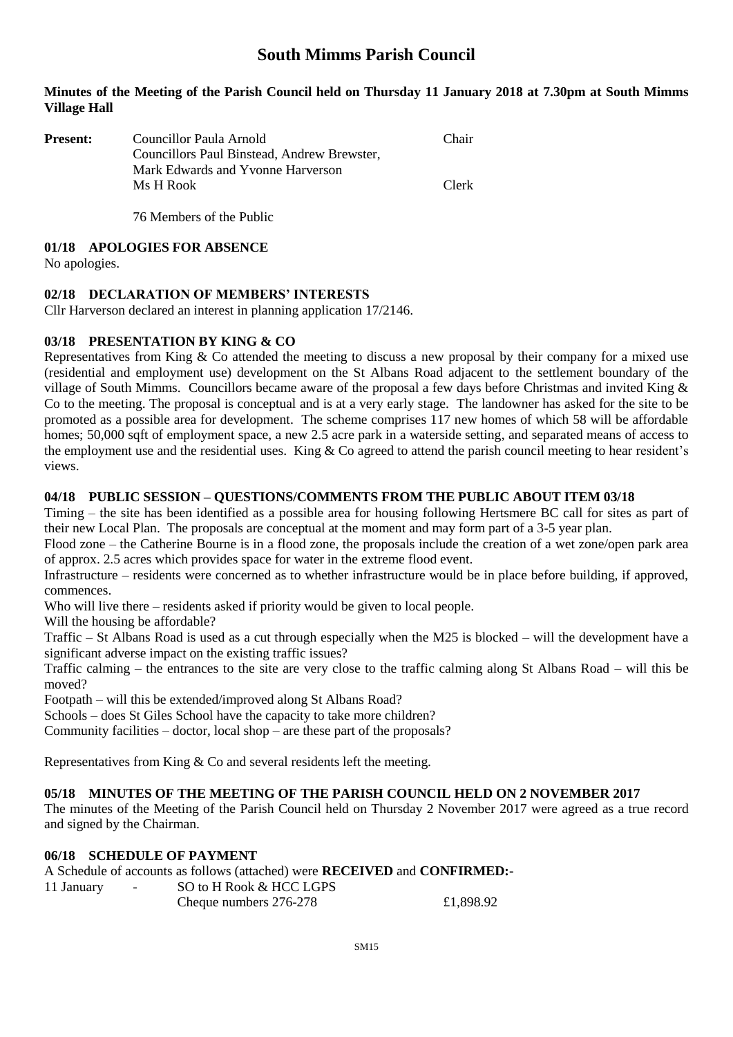# **South Mimms Parish Council**

#### **Minutes of the Meeting of the Parish Council held on Thursday 11 January 2018 at 7.30pm at South Mimms Village Hall**

| <b>Present:</b> | Councillor Paula Arnold                     | Chair |
|-----------------|---------------------------------------------|-------|
|                 | Councillors Paul Binstead, Andrew Brewster, |       |
|                 | Mark Edwards and Yvonne Harverson           |       |
|                 | Ms H Rook                                   | Clerk |
|                 |                                             |       |

76 Members of the Public

#### **01/18 APOLOGIES FOR ABSENCE**

No apologies.

#### **02/18 DECLARATION OF MEMBERS' INTERESTS**

Cllr Harverson declared an interest in planning application 17/2146.

#### **03/18 PRESENTATION BY KING & CO**

Representatives from King & Co attended the meeting to discuss a new proposal by their company for a mixed use (residential and employment use) development on the St Albans Road adjacent to the settlement boundary of the village of South Mimms. Councillors became aware of the proposal a few days before Christmas and invited King & Co to the meeting. The proposal is conceptual and is at a very early stage. The landowner has asked for the site to be promoted as a possible area for development. The scheme comprises 117 new homes of which 58 will be affordable homes; 50,000 sqft of employment space, a new 2.5 acre park in a waterside setting, and separated means of access to the employment use and the residential uses. King & Co agreed to attend the parish council meeting to hear resident's views.

#### **04/18 PUBLIC SESSION – QUESTIONS/COMMENTS FROM THE PUBLIC ABOUT ITEM 03/18**

Timing – the site has been identified as a possible area for housing following Hertsmere BC call for sites as part of their new Local Plan. The proposals are conceptual at the moment and may form part of a 3-5 year plan.

Flood zone – the Catherine Bourne is in a flood zone, the proposals include the creation of a wet zone/open park area of approx. 2.5 acres which provides space for water in the extreme flood event.

Infrastructure – residents were concerned as to whether infrastructure would be in place before building, if approved, commences.

Who will live there – residents asked if priority would be given to local people.

Will the housing be affordable?

Traffic – St Albans Road is used as a cut through especially when the M25 is blocked – will the development have a significant adverse impact on the existing traffic issues?

Traffic calming – the entrances to the site are very close to the traffic calming along St Albans Road – will this be moved?

Footpath – will this be extended/improved along St Albans Road?

Schools – does St Giles School have the capacity to take more children?

Community facilities – doctor, local shop – are these part of the proposals?

Representatives from King & Co and several residents left the meeting.

#### **05/18 MINUTES OF THE MEETING OF THE PARISH COUNCIL HELD ON 2 NOVEMBER 2017**

The minutes of the Meeting of the Parish Council held on Thursday 2 November 2017 were agreed as a true record and signed by the Chairman.

## **06/18 SCHEDULE OF PAYMENT**

A Schedule of accounts as follows (attached) were **RECEIVED** and **CONFIRMED:-**

| 11 January | $\sim$ | SO to H Rook & HCC LGPS |           |
|------------|--------|-------------------------|-----------|
|            |        | Cheque numbers 276-278  | £1,898.92 |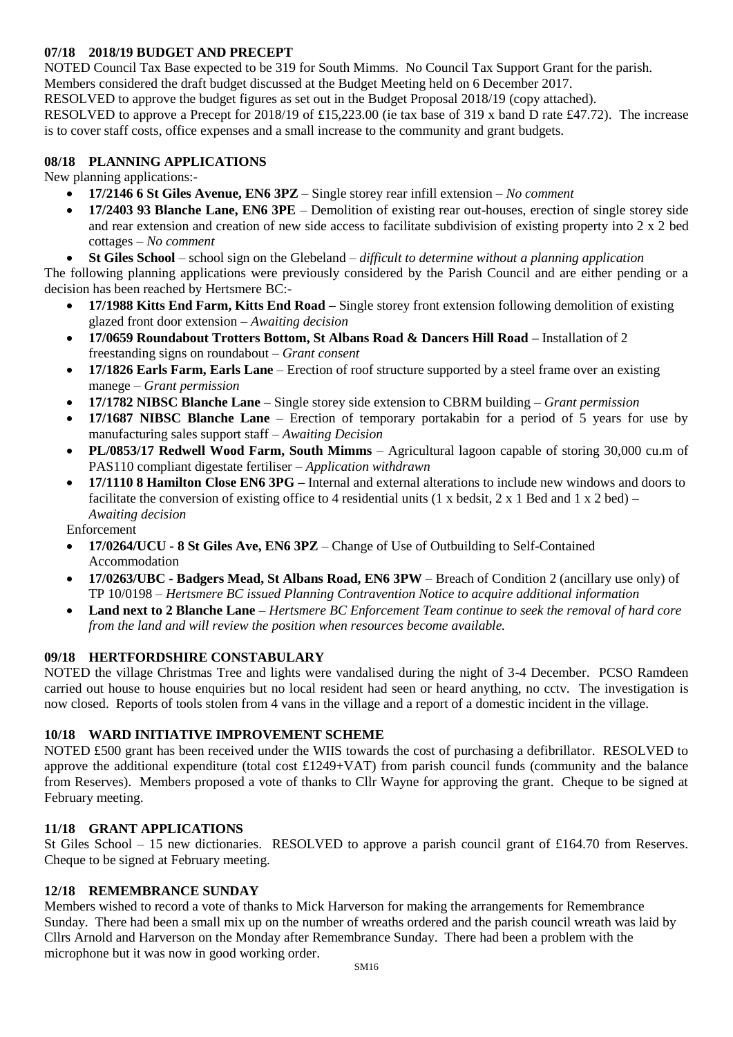### **07/18 2018/19 BUDGET AND PRECEPT**

NOTED Council Tax Base expected to be 319 for South Mimms. No Council Tax Support Grant for the parish. Members considered the draft budget discussed at the Budget Meeting held on 6 December 2017. RESOLVED to approve the budget figures as set out in the Budget Proposal 2018/19 (copy attached). RESOLVED to approve a Precept for 2018/19 of £15,223.00 (ie tax base of 319 x band D rate £47.72). The increase is to cover staff costs, office expenses and a small increase to the community and grant budgets.

### **08/18 PLANNING APPLICATIONS**

New planning applications:-

- **17/2146 6 St Giles Avenue, EN6 3PZ** Single storey rear infill extension *No comment*
- **17/2403 93 Blanche Lane, EN6 3PE** Demolition of existing rear out-houses, erection of single storey side and rear extension and creation of new side access to facilitate subdivision of existing property into 2 x 2 bed cottages – *No comment*
- **St Giles School** school sign on the Glebeland *difficult to determine without a planning application*

The following planning applications were previously considered by the Parish Council and are either pending or a decision has been reached by Hertsmere BC:-

- **17/1988 Kitts End Farm, Kitts End Road –** Single storey front extension following demolition of existing glazed front door extension – *Awaiting decision*
- **17/0659 Roundabout Trotters Bottom, St Albans Road & Dancers Hill Road –** Installation of 2 freestanding signs on roundabout – *Grant consent*
- **17/1826 Earls Farm, Earls Lane** Erection of roof structure supported by a steel frame over an existing manege – *Grant permission*
- **17/1782 NIBSC Blanche Lane** Single storey side extension to CBRM building *Grant permission*
- **17/1687 NIBSC Blanche Lane** Erection of temporary portakabin for a period of 5 years for use by manufacturing sales support staff – *Awaiting Decision*
- **PL/0853/17 Redwell Wood Farm, South Mimms** Agricultural lagoon capable of storing 30,000 cu.m of PAS110 compliant digestate fertiliser – *Application withdrawn*
- **17/1110 8 Hamilton Close EN6 3PG –** Internal and external alterations to include new windows and doors to facilitate the conversion of existing office to 4 residential units (1 x bedsit, 2 x 1 Bed and 1 x 2 bed) – *Awaiting decision*

Enforcement

- **17/0264/UCU - 8 St Giles Ave, EN6 3PZ** Change of Use of Outbuilding to Self-Contained Accommodation
- **17/0263/UBC - Badgers Mead, St Albans Road, EN6 3PW** Breach of Condition 2 (ancillary use only) of TP 10/0198 – *Hertsmere BC issued Planning Contravention Notice to acquire additional information*
- **Land next to 2 Blanche Lane** *Hertsmere BC Enforcement Team continue to seek the removal of hard core from the land and will review the position when resources become available.*

### **09/18 HERTFORDSHIRE CONSTABULARY**

NOTED the village Christmas Tree and lights were vandalised during the night of 3-4 December. PCSO Ramdeen carried out house to house enquiries but no local resident had seen or heard anything, no cctv. The investigation is now closed. Reports of tools stolen from 4 vans in the village and a report of a domestic incident in the village.

### **10/18 WARD INITIATIVE IMPROVEMENT SCHEME**

NOTED £500 grant has been received under the WIIS towards the cost of purchasing a defibrillator. RESOLVED to approve the additional expenditure (total cost  $£1249+VAT$ ) from parish council funds (community and the balance from Reserves). Members proposed a vote of thanks to Cllr Wayne for approving the grant. Cheque to be signed at February meeting.

### **11/18 GRANT APPLICATIONS**

St Giles School – 15 new dictionaries. RESOLVED to approve a parish council grant of £164.70 from Reserves. Cheque to be signed at February meeting.

### **12/18 REMEMBRANCE SUNDAY**

Members wished to record a vote of thanks to Mick Harverson for making the arrangements for Remembrance Sunday. There had been a small mix up on the number of wreaths ordered and the parish council wreath was laid by Cllrs Arnold and Harverson on the Monday after Remembrance Sunday. There had been a problem with the microphone but it was now in good working order.